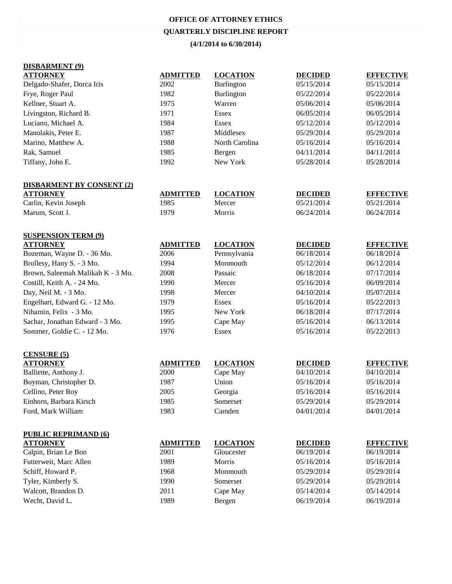# **OFFICE OF ATTORNEY ETHICS QUARTERLY DISCIPLINE REPORT**

#### **(4/1/2014 to 6/30/2014)**

| <b>DISBARMENT</b> (9)             |                 |                 |                |                  |
|-----------------------------------|-----------------|-----------------|----------------|------------------|
| <b>ATTORNEY</b>                   | <b>ADMITTED</b> | <b>LOCATION</b> | <b>DECIDED</b> | <b>EFFECTIVE</b> |
| Delgado-Shafer, Dorca Iris        | 2002            | Burlington      | 05/15/2014     | 05/15/2014       |
| Frye, Roger Paul                  | 1982            | Burlington      | 05/22/2014     | 05/22/2014       |
| Kellner, Stuart A.                | 1975            | Warren          | 05/06/2014     | 05/06/2014       |
| Livingston, Richard B.            | 1971            | Essex           | 06/05/2014     | 06/05/2014       |
| Luciano, Michael A.               | 1984            | <b>Essex</b>    | 05/12/2014     | 05/12/2014       |
| Manolakis, Peter E.               | 1987            | Middlesex       | 05/29/2014     | 05/29/2014       |
| Marino, Matthew A.                | 1988            | North Carolina  | 05/16/2014     | 05/16/2014       |
| Rak, Samuel                       | 1985            | Bergen          | 04/11/2014     | 04/11/2014       |
| Tiffany, John E.                  | 1992            | New York        | 05/28/2014     | 05/28/2014       |
| <b>DISBARMENT BY CONSENT (2)</b>  |                 |                 |                |                  |
| <b>ATTORNEY</b>                   | <b>ADMITTED</b> | <b>LOCATION</b> | <b>DECIDED</b> | <b>EFFECTIVE</b> |
| Carlin, Kevin Joseph              | 1985            | Mercer          | 05/21/2014     | 05/21/2014       |
| Marum, Scott J.                   | 1979            | Morris          | 06/24/2014     | 06/24/2014       |
| <b>SUSPENSION TERM (9)</b>        |                 |                 |                |                  |
| <b>ATTORNEY</b>                   | <b>ADMITTED</b> | <b>LOCATION</b> | <b>DECIDED</b> | <b>EFFECTIVE</b> |
| Bozeman, Wayne D. - 36 Mo.        | 2006            | Pennsylvania    | 06/18/2014     | 06/18/2014       |
| Brollesy, Hany S. - 3 Mo.         | 1994            | Monmouth        | 05/12/2014     | 06/12/2014       |
| Brown, Saleemah Malikah K - 3 Mo. | 2008            | Passaic         | 06/18/2014     | 07/17/2014       |
| Costill, Keith A. - 24 Mo.        | 1990            | Mercer          | 05/16/2014     | 06/09/2014       |
| Day, Neil M. - 3 Mo.              | 1998            | Mercer          | 04/10/2014     | 05/07/2014       |
| Engelhart, Edward G. - 12 Mo.     | 1979            | Essex           | 05/16/2014     | 05/22/2013       |
| Nihamin, Felix - 3 Mo.            | 1995            | New York        | 06/18/2014     | 07/17/2014       |
| Sachar, Jonathan Edward - 3 Mo.   | 1995            | Cape May        | 05/16/2014     | 06/13/2014       |
| Sommer, Goldie C. - 12 Mo.        | 1976            | Essex           | 05/16/2014     | 05/22/2013       |
| <b>CENSURE (5)</b>                |                 |                 |                |                  |
| <b>ATTORNEY</b>                   | <b>ADMITTED</b> | <b>LOCATION</b> | <b>DECIDED</b> | <b>EFFECTIVE</b> |
| Balliette, Anthony J.             | 2000            | Cape May        | 04/10/2014     | 04/10/2014       |
| Boyman, Christopher D.            | 1987            | Union           | 05/16/2014     | 05/16/2014       |
| Cellino, Peter Roy                | 2005            | Georgia         | 05/16/2014     | 05/16/2014       |
| Einhorn, Barbara Kirsch           | 1985            | Somerset        | 05/29/2014     | 05/29/2014       |
| Ford, Mark William                | 1983            | Camden          | 04/01/2014     | 04/01/2014       |
| <b>PUBLIC REPRIMAND (6)</b>       |                 |                 |                |                  |
| <b>ATTORNEY</b>                   | <b>ADMITTED</b> | <b>LOCATION</b> | <b>DECIDED</b> | <b>EFFECTIVE</b> |
| Calpin, Brian Le Bon              | 2001            | Gloucester      | 06/19/2014     | 06/19/2014       |
| Futterweit, Marc Allen            | 1989            | Morris          | 05/16/2014     | 05/16/2014       |
| Schiff, Howard P.                 | 1968            | Monmouth        | 05/29/2014     | 05/29/2014       |
| Tyler, Kimberly S.                | 1990            | Somerset        | 05/29/2014     | 05/29/2014       |
| Walcott, Brandon D.               | 2011            | Cape May        | 05/14/2014     | 05/14/2014       |
| Wecht, David L.                   | 1989            | Bergen          | 06/19/2014     | 06/19/2014       |